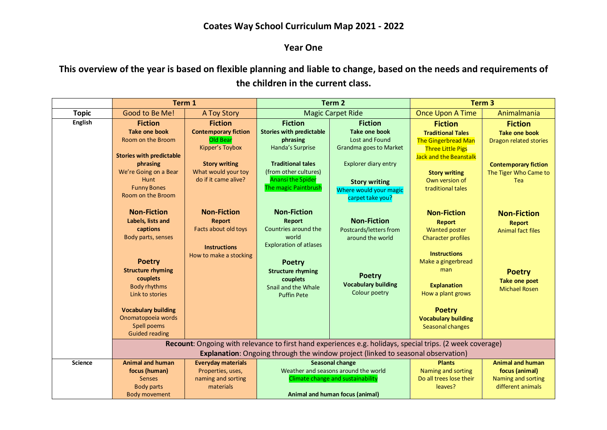## **Coates Way School Curriculum Map 2021 - 2022**

## **Year One**

**This overview of the year is based on flexible planning and liable to change, based on the needs and requirements of the children in the current class.**

|                | Term 1                                                                                                                                                                                                                                                                   |                                                                                                                                                                                               | Term <sub>2</sub>                                                                                                                                                                                    |                                                                                                                                                              | Term <sub>3</sub>                                                                                                                                                                                                                                          |                                                                                                                                               |  |
|----------------|--------------------------------------------------------------------------------------------------------------------------------------------------------------------------------------------------------------------------------------------------------------------------|-----------------------------------------------------------------------------------------------------------------------------------------------------------------------------------------------|------------------------------------------------------------------------------------------------------------------------------------------------------------------------------------------------------|--------------------------------------------------------------------------------------------------------------------------------------------------------------|------------------------------------------------------------------------------------------------------------------------------------------------------------------------------------------------------------------------------------------------------------|-----------------------------------------------------------------------------------------------------------------------------------------------|--|
| <b>Topic</b>   | Good to Be Me!                                                                                                                                                                                                                                                           | <b>A Toy Story</b>                                                                                                                                                                            | <b>Magic Carpet Ride</b>                                                                                                                                                                             |                                                                                                                                                              | Once Upon A Time                                                                                                                                                                                                                                           | Animalmania                                                                                                                                   |  |
| English        | <b>Fiction</b><br><b>Take one book</b><br>Room on the Broom<br><b>Stories with predictable</b><br>phrasing<br>We're Going on a Bear<br>Hunt<br><b>Funny Bones</b><br>Room on the Broom                                                                                   | <b>Fiction</b><br><b>Contemporary fiction</b><br>Old Bear<br>Kipper's Toybox<br><b>Story writing</b><br>What would your toy<br>do if it came alive?                                           | <b>Fiction</b><br><b>Stories with predictable</b><br>phrasing<br>Handa's Surprise<br><b>Traditional tales</b><br>(from other cultures)<br><b>Anansi the Spider</b><br>The magic Paintbrush           | <b>Fiction</b><br><b>Take one book</b><br>Lost and Found<br>Grandma goes to Market<br>Explorer diary entry<br><b>Story writing</b><br>Where would your magic | <b>Fiction</b><br><b>Traditional Tales</b><br><b>The Gingerbread Man</b><br><b>Three Little Pigs</b><br><b>Jack and the Beanstalk</b><br><b>Story writing</b><br>Own version of<br>traditional tales                                                       | <b>Fiction</b><br><b>Take one book</b><br><b>Dragon related stories</b><br><b>Contemporary fiction</b><br>The Tiger Who Came to<br><b>Tea</b> |  |
|                | <b>Non-Fiction</b><br>Labels, lists and<br>captions<br>Body parts, senses<br><b>Poetry</b><br><b>Structure rhyming</b><br>couplets<br><b>Body rhythms</b><br>Link to stories<br><b>Vocabulary building</b><br>Onomatopoeia words<br>Spell poems<br><b>Guided reading</b> | <b>Non-Fiction</b><br><b>Report</b><br>Facts about old toys<br><b>Instructions</b><br>How to make a stocking                                                                                  | <b>Non-Fiction</b><br>Report<br>Countries around the<br>world<br><b>Exploration of atlases</b><br><b>Poetry</b><br><b>Structure rhyming</b><br>couplets<br>Snail and the Whale<br><b>Puffin Pete</b> | carpet take you?<br><b>Non-Fiction</b><br>Postcards/letters from<br>around the world<br><b>Poetry</b><br><b>Vocabulary building</b><br>Colour poetry         | <b>Non-Fiction</b><br><b>Report</b><br><b>Wanted poster</b><br><b>Character profiles</b><br><b>Instructions</b><br>Make a gingerbread<br>man<br><b>Explanation</b><br>How a plant grows<br><b>Poetry</b><br><b>Vocabulary building</b><br>Seasonal changes | <b>Non-Fiction</b><br><b>Report</b><br><b>Animal fact files</b><br><b>Poetry</b><br>Take one poet<br><b>Michael Rosen</b>                     |  |
|                |                                                                                                                                                                                                                                                                          | Recount: Ongoing with relevance to first hand experiences e.g. holidays, special trips. (2 week coverage)<br>Explanation: Ongoing through the window project (linked to seasonal observation) |                                                                                                                                                                                                      |                                                                                                                                                              |                                                                                                                                                                                                                                                            |                                                                                                                                               |  |
| <b>Science</b> | <b>Animal and human</b><br>focus (human)<br><b>Senses</b><br><b>Body parts</b><br><b>Body movement</b>                                                                                                                                                                   | <b>Everyday materials</b><br>Properties, uses,<br>naming and sorting<br>materials                                                                                                             | <b>Seasonal change</b><br>Weather and seasons around the world<br>Climate change and sustainability<br>Animal and human focus (animal)                                                               |                                                                                                                                                              | <b>Plants</b><br>Naming and sorting<br>Do all trees lose their<br>leaves?                                                                                                                                                                                  | <b>Animal and human</b><br>focus (animal)<br>Naming and sorting<br>different animals                                                          |  |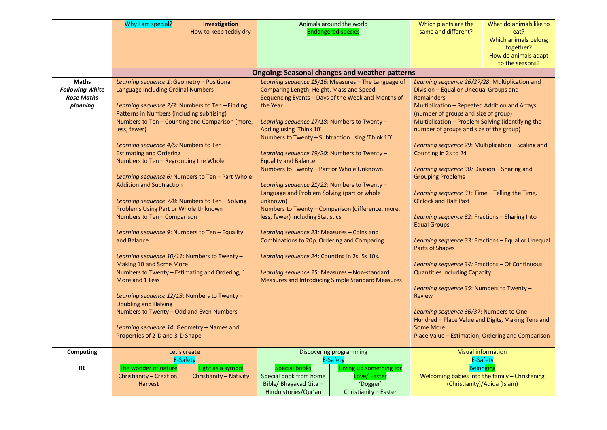|                                             | Why I am special?                                                         | Investigation                          |                                                                                                 | Animals around the world                              | Which plants are the                                                                         | What do animals like to                            |  |
|---------------------------------------------|---------------------------------------------------------------------------|----------------------------------------|-------------------------------------------------------------------------------------------------|-------------------------------------------------------|----------------------------------------------------------------------------------------------|----------------------------------------------------|--|
|                                             |                                                                           | How to keep teddy dry                  |                                                                                                 | <b>Endangered species</b>                             | same and different?                                                                          | eat?<br>Which animals belong                       |  |
|                                             |                                                                           |                                        |                                                                                                 |                                                       |                                                                                              | together?                                          |  |
|                                             |                                                                           |                                        |                                                                                                 |                                                       |                                                                                              | How do animals adapt                               |  |
|                                             |                                                                           |                                        |                                                                                                 |                                                       |                                                                                              | to the seasons?                                    |  |
|                                             |                                                                           |                                        |                                                                                                 | <b>Ongoing: Seasonal changes and weather patterns</b> |                                                                                              |                                                    |  |
| <b>Maths</b>                                | Learning sequence 1: Geometry - Positional                                |                                        | Learning sequence 15/16: Measures - The Language of<br>Comparing Length, Height, Mass and Speed |                                                       | Learning sequence 26/27/28: Multiplication and                                               |                                                    |  |
| <b>Following White</b><br><b>Rose Maths</b> | <b>Language Including Ordinal Numbers</b>                                 |                                        |                                                                                                 |                                                       | Division - Equal or Unequal Groups and<br><b>Remainders</b>                                  |                                                    |  |
| planning                                    | Learning sequence $2/3$ : Numbers to Ten - Finding                        |                                        | Sequencing Events - Days of the Week and Months of<br>the Year                                  |                                                       | Multiplication - Repeated Addition and Arrays                                                |                                                    |  |
|                                             | Patterns in Numbers (including subitising)                                |                                        |                                                                                                 |                                                       | (number of groups and size of group)                                                         |                                                    |  |
|                                             | Numbers to Ten - Counting and Comparison (more,                           |                                        | Learning sequence 17/18: Numbers to Twenty -                                                    |                                                       | Multiplication - Problem Solving (identifying the                                            |                                                    |  |
|                                             | less, fewer)                                                              |                                        | Adding using 'Think 10'                                                                         |                                                       | number of groups and size of the group)                                                      |                                                    |  |
|                                             |                                                                           |                                        | Numbers to Twenty - Subtraction using 'Think 10'                                                |                                                       |                                                                                              |                                                    |  |
|                                             |                                                                           | Learning sequence 4/5: Numbers to Ten- |                                                                                                 |                                                       |                                                                                              | Learning sequence 29: Multiplication – Scaling and |  |
|                                             | <b>Estimating and Ordering</b><br>Numbers to Ten - Regrouping the Whole   |                                        | Learning sequence 19/20: Numbers to Twenty -<br><b>Equality and Balance</b>                     |                                                       | Counting in 2s to 24                                                                         |                                                    |  |
|                                             |                                                                           |                                        | Numbers to Twenty - Part or Whole Unknown                                                       |                                                       | Learning sequence 30: Division - Sharing and                                                 |                                                    |  |
|                                             | Learning sequence 6: Numbers to Ten - Part Whole                          |                                        |                                                                                                 |                                                       | <b>Grouping Problems</b>                                                                     |                                                    |  |
|                                             | <b>Addition and Subtraction</b>                                           |                                        | Learning sequence 21/22: Numbers to Twenty -                                                    |                                                       |                                                                                              |                                                    |  |
|                                             |                                                                           |                                        | Language and Problem Solving (part or whole                                                     |                                                       | Learning sequence 31: Time - Telling the Time,                                               |                                                    |  |
|                                             | Learning sequence 7/8: Numbers to Ten-Solving                             |                                        | unknown)                                                                                        |                                                       | O'clock and Half Past                                                                        |                                                    |  |
|                                             | Problems Using Part or Whole Unknown<br>Numbers to Ten - Comparison       |                                        | Numbers to Twenty - Comparison (difference, more,<br>less, fewer) including Statistics          |                                                       | Learning sequence 32: Fractions - Sharing Into                                               |                                                    |  |
|                                             |                                                                           |                                        |                                                                                                 |                                                       | <b>Equal Groups</b>                                                                          |                                                    |  |
|                                             | Learning sequence 9: Numbers to Ten – Equality                            |                                        | Learning sequence 23: Measures – Coins and                                                      |                                                       |                                                                                              |                                                    |  |
|                                             | and Balance                                                               |                                        | Combinations to 20p, Ordering and Comparing                                                     |                                                       | Learning sequence 33: Fractions - Equal or Unequal                                           |                                                    |  |
|                                             |                                                                           |                                        |                                                                                                 |                                                       | Parts of Shapes                                                                              |                                                    |  |
|                                             | Learning sequence 10/11: Numbers to Twenty -                              |                                        | Learning sequence 24: Counting in 2s, 5s 10s.                                                   |                                                       |                                                                                              |                                                    |  |
|                                             | Making 10 and Some More<br>Numbers to Twenty - Estimating and Ordering, 1 |                                        | Learning sequence 25: Measures - Non-standard                                                   |                                                       | Learning sequence 34: Fractions - Of Continuous<br><b>Quantities Including Capacity</b>      |                                                    |  |
|                                             | More and 1 Less                                                           |                                        | <b>Measures and Introducing Simple Standard Measures</b>                                        |                                                       |                                                                                              |                                                    |  |
|                                             |                                                                           |                                        |                                                                                                 |                                                       | Learning sequence 35: Numbers to Twenty -<br><b>Review</b>                                   |                                                    |  |
|                                             | Learning sequence $12/13$ : Numbers to Twenty –                           |                                        |                                                                                                 |                                                       |                                                                                              |                                                    |  |
|                                             | Doubling and Halving                                                      |                                        |                                                                                                 |                                                       |                                                                                              |                                                    |  |
|                                             | Numbers to Twenty - Odd and Even Numbers                                  |                                        |                                                                                                 |                                                       | Learning sequence 36/37: Numbers to One<br>Hundred - Place Value and Digits, Making Tens and |                                                    |  |
|                                             | Learning sequence 14: Geometry - Names and                                |                                        |                                                                                                 |                                                       | <b>Some More</b>                                                                             |                                                    |  |
|                                             | Properties of 2-D and 3-D Shape                                           |                                        |                                                                                                 |                                                       | Place Value - Estimation, Ordering and Comparison                                            |                                                    |  |
|                                             |                                                                           |                                        |                                                                                                 |                                                       |                                                                                              |                                                    |  |
| Computing                                   | Let's create<br>E-Safety                                                  |                                        | Discovering programming<br><b>E-Safety</b>                                                      |                                                       |                                                                                              | <b>Visual information</b><br><b>E-Safety</b>       |  |
| <b>RE</b>                                   | The wonder of nature                                                      | Light as a symbol                      | <b>Special books</b>                                                                            | Giving up something for                               |                                                                                              | <b>Belonging</b>                                   |  |
|                                             | Christianity - Creation,                                                  | Christianity - Nativity                | Special book from home                                                                          | Love/Easter                                           |                                                                                              | Welcoming babies into the family - Christening     |  |
|                                             | <b>Harvest</b>                                                            |                                        | Bible/ Bhagavad Gita -                                                                          | 'Dogger'                                              |                                                                                              | (Christianity)/Aqiqa (Islam)                       |  |
|                                             |                                                                           |                                        | Hindu stories/Qur'an                                                                            | Christianity - Easter                                 |                                                                                              |                                                    |  |